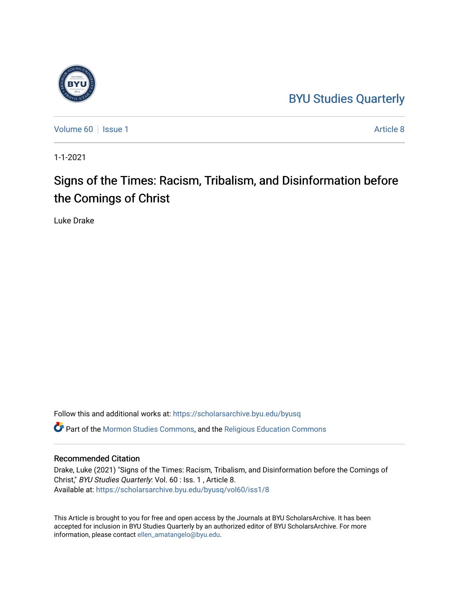# [BYU Studies Quarterly](https://scholarsarchive.byu.edu/byusq)



[Volume 60](https://scholarsarchive.byu.edu/byusq/vol60) | [Issue 1](https://scholarsarchive.byu.edu/byusq/vol60/iss1) Article 8

1-1-2021

# Signs of the Times: Racism, Tribalism, and Disinformation before the Comings of Christ

Luke Drake

Follow this and additional works at: [https://scholarsarchive.byu.edu/byusq](https://scholarsarchive.byu.edu/byusq?utm_source=scholarsarchive.byu.edu%2Fbyusq%2Fvol60%2Fiss1%2F8&utm_medium=PDF&utm_campaign=PDFCoverPages)  Part of the [Mormon Studies Commons](http://network.bepress.com/hgg/discipline/1360?utm_source=scholarsarchive.byu.edu%2Fbyusq%2Fvol60%2Fiss1%2F8&utm_medium=PDF&utm_campaign=PDFCoverPages), and the [Religious Education Commons](http://network.bepress.com/hgg/discipline/1414?utm_source=scholarsarchive.byu.edu%2Fbyusq%2Fvol60%2Fiss1%2F8&utm_medium=PDF&utm_campaign=PDFCoverPages) 

### Recommended Citation

Drake, Luke (2021) "Signs of the Times: Racism, Tribalism, and Disinformation before the Comings of Christ," BYU Studies Quarterly: Vol. 60 : Iss. 1 , Article 8. Available at: [https://scholarsarchive.byu.edu/byusq/vol60/iss1/8](https://scholarsarchive.byu.edu/byusq/vol60/iss1/8?utm_source=scholarsarchive.byu.edu%2Fbyusq%2Fvol60%2Fiss1%2F8&utm_medium=PDF&utm_campaign=PDFCoverPages)

This Article is brought to you for free and open access by the Journals at BYU ScholarsArchive. It has been accepted for inclusion in BYU Studies Quarterly by an authorized editor of BYU ScholarsArchive. For more information, please contact [ellen\\_amatangelo@byu.edu.](mailto:ellen_amatangelo@byu.edu)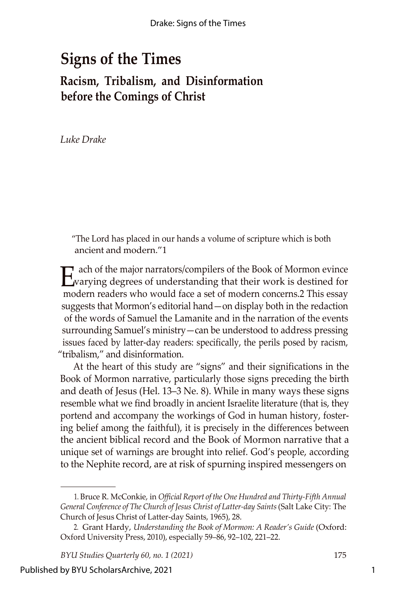# **Signs of the Times Racism, Tribalism, and Disinformation before the Comings of Christ**

*Luke Drake*

"The Lord has placed in our hands a volume of scripture which is both ancient and modern."1

E ach of the major narrators/compilers of the Book of Mormon evince<br>warying degrees of understanding that their work is destined for ach of the major narrators/compilers of the Book of Mormon evince modern readers who would face a set of modern concerns.2 This essay suggests that Mormon's editorial hand—on display both in the redaction of the words of Samuel the Lamanite and in the narration of the events surrounding Samuel's ministry—can be understood to address pressing issues faced by latter-day readers: specifically, the perils posed by racism, "tribalism," and disinformation.

At the heart of this study are "signs" and their significations in the Book of Mormon narrative, particularly those signs preceding the birth and death of Jesus (Hel. 13–3 Ne. 8). While in many ways these signs resemble what we find broadly in ancient Israelite literature (that is, they portend and accompany the workings of God in human history, fostering belief among the faithful), it is precisely in the differences between the ancient biblical record and the Book of Mormon narrative that a unique set of warnings are brought into relief. God's people, according to the Nephite record, are at risk of spurning inspired messengers on

<sup>1.</sup> Bruce R. McConkie, in *Official Report of the One Hundred and Thirty-Fifth Annual General Conference of The Church of Jesus Christ of Latter-day Saints*(Salt Lake City: The Church of Jesus Christ of Latter-day Saints, 1965), 28.

<sup>2.</sup> Grant Hardy, *Understanding the Book of Mormon: A Reader's Guide* (Oxford: Oxford University Press, 2010), especially 59–86, 92–102, 221–22.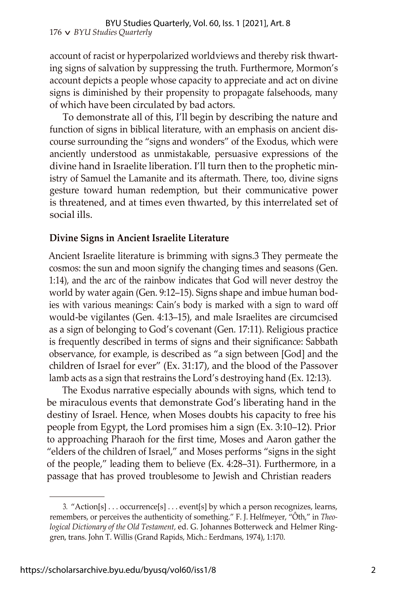account of racist or hyperpolarized worldviews and thereby risk thwarting signs of salvation by suppressing the truth. Furthermore, Mormon's account depicts a people whose capacity to appreciate and act on divine signs is diminished by their propensity to propagate falsehoods, many of which have been circulated by bad actors.

To demonstrate all of this, I'll begin by describing the nature and function of signs in biblical literature, with an emphasis on ancient discourse surrounding the "signs and wonders" of the Exodus, which were anciently understood as unmistakable, persuasive expressions of the divine hand in Israelite liberation. I'll turn then to the prophetic ministry of Samuel the Lamanite and its aftermath. There, too, divine signs gesture toward human redemption, but their communicative power is threatened, and at times even thwarted, by this interrelated set of social ills.

## **Divine Signs in Ancient Israelite Literature**

Ancient Israelite literature is brimming with signs.3 They permeate the cosmos: the sun and moon signify the changing times and seasons (Gen. 1:14), and the arc of the rainbow indicates that God will never destroy the world by water again (Gen. 9:12–15). Signs shape and imbue human bodies with various meanings: Cain's body is marked with a sign to ward off would-be vigilantes (Gen. 4:13–15), and male Israelites are circumcised as a sign of belonging to God's covenant (Gen. 17:11). Religious practice is frequently described in terms of signs and their significance: Sabbath observance, for example, is described as "a sign between [God] and the children of Israel for ever" (Ex. 31:17), and the blood of the Passover lamb acts as a sign that restrains the Lord's destroying hand (Ex. 12:13).

The Exodus narrative especially abounds with signs, which tend to be miraculous events that demonstrate God's liberating hand in the destiny of Israel. Hence, when Moses doubts his capacity to free his people from Egypt, the Lord promises him a sign (Ex. 3:10–12). Prior to approaching Pharaoh for the first time, Moses and Aaron gather the "elders of the children of Israel," and Moses performs "signs in the sight of the people," leading them to believe (Ex. 4:28–31). Furthermore, in a passage that has proved troublesome to Jewish and Christian readers

<sup>3.</sup> "Action[s] . . . occurrence[s] . . . event[s] by which a person recognizes, learns, remembers, or perceives the authenticity of something." F. J. Helfmeyer, "Ôth," in *Theological Dictionary of the Old Testament,* ed. G. Johannes Botterweck and Helmer Ringgren, trans. John T. Willis (Grand Rapids, Mich.: Eerdmans, 1974), 1:170.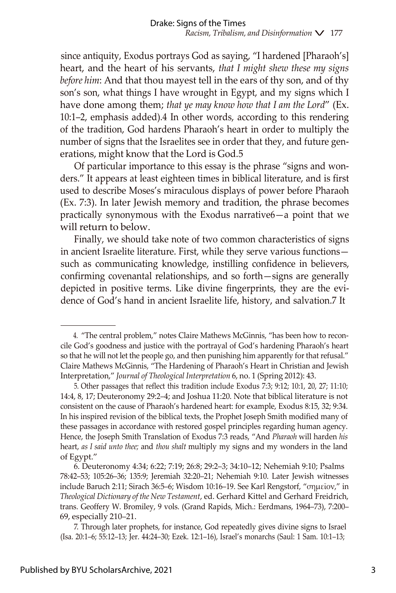since antiquity, Exodus portrays God as saying, "I hardened [Pharaoh's] heart, and the heart of his servants, *that I might shew these my signs before him*: And that thou mayest tell in the ears of thy son, and of thy son's son, what things I have wrought in Egypt, and my signs which I have done among them; *that ye may know how that I am the Lord*" (Ex. 10:1–2, emphasis added).4 In other words, according to this rendering of the tradition, God hardens Pharaoh's heart in order to multiply the number of signs that the Israelites see in order that they, and future generations, might know that the Lord is God.5

Of particular importance to this essay is the phrase "signs and wonders." It appears at least eighteen times in biblical literature, and is first used to describe Moses's miraculous displays of power before Pharaoh (Ex. 7:3). In later Jewish memory and tradition, the phrase becomes practically synonymous with the Exodus narrative6—a point that we will return to below.

Finally, we should take note of two common characteristics of signs in ancient Israelite literature. First, while they serve various functions such as communicating knowledge, instilling confidence in believers, confirming covenantal relationships, and so forth—signs are generally depicted in positive terms. Like divine fingerprints, they are the evidence of God's hand in ancient Israelite life, history, and salvation.7 It

<sup>4.</sup> "The central problem," notes Claire Mathews McGinnis, "has been how to reconcile God's goodness and justice with the portrayal of God's hardening Pharaoh's heart so that he will not let the people go, and then punishing him apparently for that refusal." Claire Mathews McGinnis, "The Hardening of Pharaoh's Heart in Christian and Jewish Interpretation," *Journal of Theological Interpretation* 6, no. 1 (Spring 2012): 43.

<sup>5.</sup> Other passages that reflect this tradition include Exodus 7:3; 9:12; 10:1, 20, 27; 11:10; 14:4, 8, 17; Deuteronomy 29:2–4; and Joshua 11:20. Note that biblical literature is not consistent on the cause of Pharaoh's hardened heart: for example, Exodus 8:15, 32; 9:34. In his inspired revision of the biblical texts, the Prophet Joseph Smith modified many of these passages in accordance with restored gospel principles regarding human agency. Hence, the Joseph Smith Translation of Exodus 7:3 reads, "And *Pharaoh* will harden *his* heart, *as I said unto thee;* and *thou shalt* multiply my signs and my wonders in the land of Egypt."

<sup>6.</sup> Deuteronomy 4:34; 6:22; 7:19; 26:8; 29:2–3; 34:10–12; Nehemiah 9:10; Psalms 78:42–53; 105:26–36; 135:9; Jeremiah 32:20–21; Nehemiah 9:10. Later Jewish witnesses include Baruch 2:11; Sirach 36:5–6; Wisdom 10:16–19. See Karl Rengstorf, "σημεῖον," in *Theological Dictionary of the New Testament*, ed. Gerhard Kittel and Gerhard Freidrich, trans. Geoffery W. Bromiley, 9 vols. (Grand Rapids, Mich.: Eerdmans, 1964–73), 7:200– 69, especially 210–21.

<sup>7.</sup> Through later prophets, for instance, God repeatedly gives divine signs to Israel (Isa. 20:1–6; 55:12–13; Jer. 44:24–30; Ezek. 12:1–16), Israel's monarchs (Saul: 1 Sam. 10:1–13;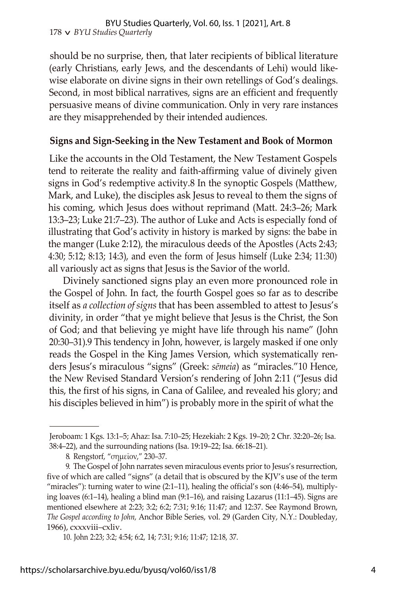should be no surprise, then, that later recipients of biblical literature (early Christians, early Jews, and the descendants of Lehi) would likewise elaborate on divine signs in their own retellings of God's dealings. Second, in most biblical narratives, signs are an efficient and frequently persuasive means of divine communication. Only in very rare instances are they misapprehended by their intended audiences.

### **Signs and Sign-Seeking in the New Testament and Book of Mormon**

Like the accounts in the Old Testament, the New Testament Gospels tend to reiterate the reality and faith-affirming value of divinely given signs in God's redemptive activity.8 In the synoptic Gospels (Matthew, Mark, and Luke), the disciples ask Jesus to reveal to them the signs of his coming, which Jesus does without reprimand (Matt. 24:3–26; Mark 13:3–23; Luke 21:7–23). The author of Luke and Acts is especially fond of illustrating that God's activity in history is marked by signs: the babe in the manger (Luke 2:12), the miraculous deeds of the Apostles (Acts 2:43; 4:30; 5:12; 8:13; 14:3), and even the form of Jesus himself (Luke 2:34; 11:30) all variously act as signs that Jesus is the Savior of the world.

Divinely sanctioned signs play an even more pronounced role in the Gospel of John. In fact, the fourth Gospel goes so far as to describe itself as *a collection of signs* that has been assembled to attest to Jesus's divinity, in order "that ye might believe that Jesus is the Christ, the Son of God; and that believing ye might have life through his name" (John 20:30–31).9 This tendency in John, however, is largely masked if one only reads the Gospel in the King James Version, which systematically renders Jesus's miraculous "signs" (Greek: *sēmeia*) as "miracles."10 Hence, the New Revised Standard Version's rendering of John 2:11 ("Jesus did this, the first of his signs, in Cana of Galilee, and revealed his glory; and his disciples believed in him") is probably more in the spirit of what the

Jeroboam: 1 Kgs. 13:1–5; Ahaz: Isa. 7:10–25; Hezekiah: 2 Kgs. 19–20; 2 Chr. 32:20–26; Isa. 38:4–22), and the surrounding nations (Isa. 19:19–22; Isa. 66:18–21).

<sup>8.</sup> Rengstorf, "σημεῖον," 230–37.

<sup>9.</sup> The Gospel of John narrates seven miraculous events prior to Jesus's resurrection, five of which are called "signs" (a detail that is obscured by the KJV's use of the term "miracles"): turning water to wine  $(2:1-11)$ , healing the official's son  $(4:46-54)$ , multiplying loaves (6:1–14), healing a blind man (9:1–16), and raising Lazarus (11:1–45). Signs are mentioned elsewhere at 2:23; 3:2; 6:2; 7:31; 9:16; 11:47; and 12:37. See Raymond Brown, *The Gospel according to John,* Anchor Bible Series, vol. 29 (Garden City, N.Y.: Doubleday, 1966), cxxxviii–cxliv.

<sup>10.</sup> John 2:23; 3:2; 4:54; 6:2, 14; 7:31; 9:16; 11:47; 12:18, 37.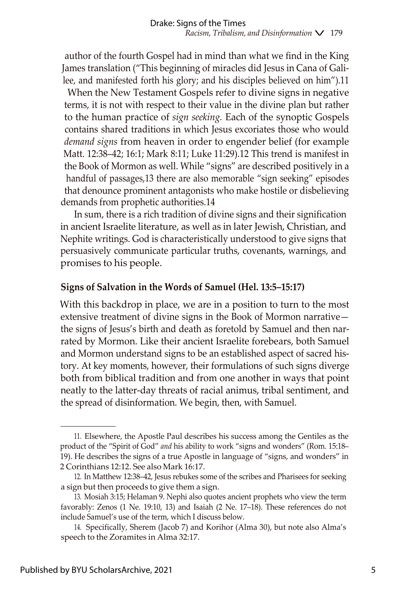author of the fourth Gospel had in mind than what we find in the King James translation ("This beginning of miracles did Jesus in Cana of Galilee, and manifested forth his glory; and his disciples believed on him").11

When the New Testament Gospels refer to divine signs in negative terms, it is not with respect to their value in the divine plan but rather to the human practice of *sign seeking.* Each of the synoptic Gospels contains shared traditions in which Jesus excoriates those who would *demand signs* from heaven in order to engender belief (for example Matt. 12:38–42; 16:1; Mark 8:11; Luke 11:29).12 This trend is manifest in the Book of Mormon as well. While "signs" are described positively in a handful of passages,13 there are also memorable "sign seeking" episodes that denounce prominent antagonists who make hostile or disbelieving demands from prophetic authorities.14

In sum, there is a rich tradition of divine signs and their signification in ancient Israelite literature, as well as in later Jewish, Christian, and Nephite writings. God is characteristically understood to give signs that persuasively communicate particular truths, covenants, warnings, and promises to his people.

## **Signs of Salvation in the Words of Samuel (Hel. 13:5–15:17)**

With this backdrop in place, we are in a position to turn to the most extensive treatment of divine signs in the Book of Mormon narrative the signs of Jesus's birth and death as foretold by Samuel and then narrated by Mormon. Like their ancient Israelite forebears, both Samuel and Mormon understand signs to be an established aspect of sacred history. At key moments, however, their formulations of such signs diverge both from biblical tradition and from one another in ways that point neatly to the latter-day threats of racial animus, tribal sentiment, and the spread of disinformation. We begin, then, with Samuel.

<sup>11.</sup> Elsewhere, the Apostle Paul describes his success among the Gentiles as the product of the "Spirit of God" *and* his ability to work "signs and wonders" (Rom. 15:18– 19). He describes the signs of a true Apostle in language of "signs, and wonders" in 2 Corinthians 12:12. See also Mark 16:17.

<sup>12.</sup> In Matthew 12:38–42, Jesus rebukes some of the scribes and Pharisees for seeking a sign but then proceeds to give them a sign.

<sup>13.</sup> Mosiah 3:15; Helaman 9. Nephi also quotes ancient prophets who view the term favorably: Zenos (1 Ne. 19:10, 13) and Isaiah (2 Ne. 17–18). These references do not include Samuel's use of the term, which I discuss below.

<sup>14.</sup> Specifically, Sherem (Jacob 7) and Korihor (Alma 30), but note also Alma's speech to the Zoramites in Alma 32:17.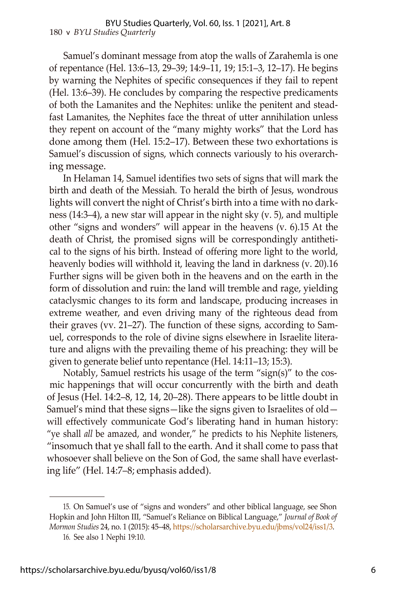Samuel's dominant message from atop the walls of Zarahemla is one of repentance (Hel. 13:6–13, 29–39; 14:9–11, 19; 15:1–3, 12–17). He begins by warning the Nephites of specific consequences if they fail to repent (Hel. 13:6–39). He concludes by comparing the respective predicaments of both the Lamanites and the Nephites: unlike the penitent and steadfast Lamanites, the Nephites face the threat of utter annihilation unless they repent on account of the "many mighty works" that the Lord has done among them (Hel. 15:2–17). Between these two exhortations is Samuel's discussion of signs, which connects variously to his overarching message.

In Helaman 14, Samuel identifies two sets of signs that will mark the birth and death of the Messiah. To herald the birth of Jesus, wondrous lights will convert the night of Christ's birth into a time with no darkness (14:3–4), a new star will appear in the night sky (v. 5), and multiple other "signs and wonders" will appear in the heavens (v. 6).15 At the death of Christ, the promised signs will be correspondingly antithetical to the signs of his birth. Instead of offering more light to the world, heavenly bodies will withhold it, leaving the land in darkness (v. 20).16 Further signs will be given both in the heavens and on the earth in the form of dissolution and ruin: the land will tremble and rage, yielding cataclysmic changes to its form and landscape, producing increases in extreme weather, and even driving many of the righteous dead from their graves (vv. 21–27). The function of these signs, according to Samuel, corresponds to the role of divine signs elsewhere in Israelite literature and aligns with the prevailing theme of his preaching: they will be given to generate belief unto repentance (Hel. 14:11–13; 15:3).

Notably, Samuel restricts his usage of the term "sign(s)" to the cosmic happenings that will occur concurrently with the birth and death of Jesus (Hel. 14:2–8, 12, 14, 20–28). There appears to be little doubt in Samuel's mind that these signs—like the signs given to Israelites of old will effectively communicate God's liberating hand in human history: "ye shall *all* be amazed, and wonder," he predicts to his Nephite listeners, "insomuch that ye shall fall to the earth. And it shall come to pass that whosoever shall believe on the Son of God, the same shall have everlasting life" (Hel. 14:7–8; emphasis added).

<sup>15.</sup> On Samuel's use of "signs and wonders" and other biblical language, see Shon Hopkin and John Hilton III, "Samuel's Reliance on Biblical Language," *Journal of Book of Mormon Studies* 24, no. 1 (2015): 45–48, [https://scholarsarchive.byu.edu/jbms/vol24/iss1/3.](https://scholarsarchive.byu.edu/jbms/vol24/iss1/3)

<sup>16.</sup> See also 1 Nephi 19:10.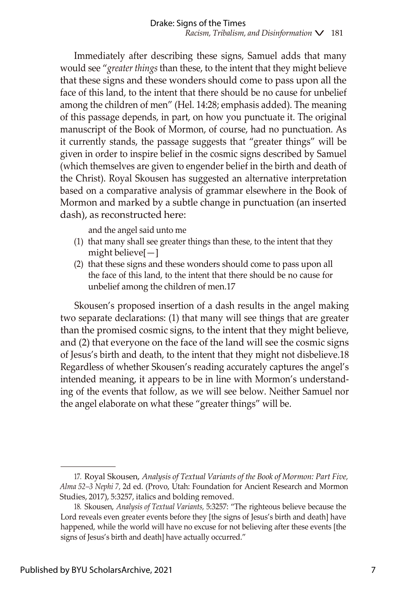Immediately after describing these signs, Samuel adds that many would see "*greater things* than these, to the intent that they might believe that these signs and these wonders should come to pass upon all the face of this land, to the intent that there should be no cause for unbelief among the children of men" (Hel. 14:28; emphasis added). The meaning of this passage depends, in part, on how you punctuate it. The original manuscript of the Book of Mormon, of course, had no punctuation. As it currently stands, the passage suggests that "greater things" will be given in order to inspire belief in the cosmic signs described by Samuel (which themselves are given to engender belief in the birth and death of the Christ). Royal Skousen has suggested an alternative interpretation based on a comparative analysis of grammar elsewhere in the Book of Mormon and marked by a subtle change in punctuation (an inserted dash), as reconstructed here:

and the angel said unto me

- (1) that many shall see greater things than these, to the intent that they might believe[—]
- (2) that these signs and these wonders should come to pass upon all the face of this land, to the intent that there should be no cause for unbelief among the children of men.17

Skousen's proposed insertion of a dash results in the angel making two separate declarations: (1) that many will see things that are greater than the promised cosmic signs, to the intent that they might believe, and (2) that everyone on the face of the land will see the cosmic signs of Jesus's birth and death, to the intent that they might not disbelieve.18 Regardless of whether Skousen's reading accurately captures the angel's intended meaning, it appears to be in line with Mormon's understanding of the events that follow, as we will see below. Neither Samuel nor the angel elaborate on what these "greater things" will be.

<sup>17.</sup> Royal Skousen, *Analysis of Textual Variants of the Book of Mormon: Part Five, Alma 52–3 Nephi 7,* 2d ed. (Provo, Utah: Foundation for Ancient Research and Mormon Studies, 2017), 5:3257, italics and bolding removed.

<sup>18.</sup> Skousen, *Analysis of Textual Variants,* 5:3257: "The righteous believe because the Lord reveals even greater events before they [the signs of Jesus's birth and death] have happened, while the world will have no excuse for not believing after these events [the signs of Jesus's birth and death] have actually occurred."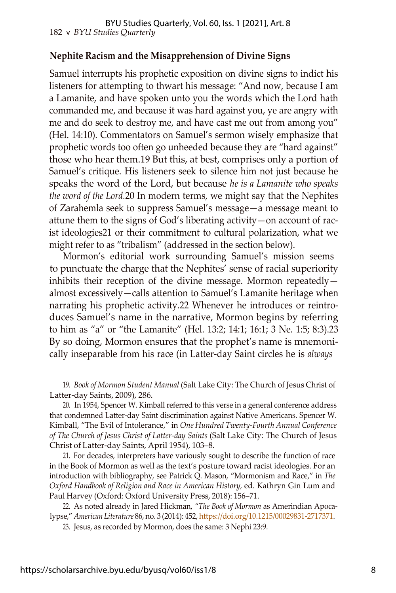## **Nephite Racism and the Misapprehension of Divine Signs**

Samuel interrupts his prophetic exposition on divine signs to indict his listeners for attempting to thwart his message: "And now, because I am a Lamanite, and have spoken unto you the words which the Lord hath commanded me, and because it was hard against you, ye are angry with me and do seek to destroy me, and have cast me out from among you" (Hel. 14:10). Commentators on Samuel's sermon wisely emphasize that prophetic words too often go unheeded because they are "hard against" those who hear them.19 But this, at best, comprises only a portion of Samuel's critique. His listeners seek to silence him not just because he speaks the word of the Lord, but because *he is a Lamanite who speaks the word of the Lord.*20 In modern terms, we might say that the Nephites of Zarahemla seek to suppress Samuel's message—a message meant to attune them to the signs of God's liberating activity—on account of racist ideologies21 or their commitment to cultural polarization, what we might refer to as "tribalism" (addressed in the section below).

Mormon's editorial work surrounding Samuel's mission seems to punctuate the charge that the Nephites' sense of racial superiority inhibits their reception of the divine message. Mormon repeatedly almost excessively—calls attention to Samuel's Lamanite heritage when narrating his prophetic activity.22 Whenever he introduces or reintroduces Samuel's name in the narrative, Mormon begins by referring to him as "a" or "the Lamanite" (Hel. 13:2; 14:1; 16:1; 3 Ne. 1:5; 8:3).23 By so doing, Mormon ensures that the prophet's name is mnemonically inseparable from his race (in Latter-day Saint circles he is *always*

<sup>19.</sup> *Book of Mormon Student Manual* (Salt Lake City: The Church of Jesus Christ of Latter-day Saints, 2009), 286.

<sup>20.</sup> In 1954, Spencer W. Kimball referred to this verse in a general conference address that condemned Latter-day Saint discrimination against Native Americans. Spencer W. Kimball, "The Evil of Intolerance," in *One Hundred Twenty-Fourth Annual Conference of The Church of Jesus Christ of Latter-day Saints* (Salt Lake City: The Church of Jesus Christ of Latter-day Saints, April 1954), 103–8.

<sup>21.</sup> For decades, interpreters have variously sought to describe the function of race in the Book of Mormon as well as the text's posture toward racist ideologies. For an introduction with bibliography, see Patrick Q. Mason, "Mormonism and Race," in *The Oxford Handbook of Religion and Race in American History,* ed. Kathryn Gin Lum and Paul Harvey (Oxford: Oxford University Press, 2018): 156–71.

<sup>22.</sup> As noted already in Jared Hickman, *"The Book of Mormon* as Amerindian Apocalypse," *American Literature* 86, no. 3 (2014): 452, [https://doi.org/10.1215/00029831-2717371.](https://doi.org/10.1215/00029831-2717371)

<sup>23.</sup> Jesus, as recorded by Mormon, does the same: 3 Nephi 23:9.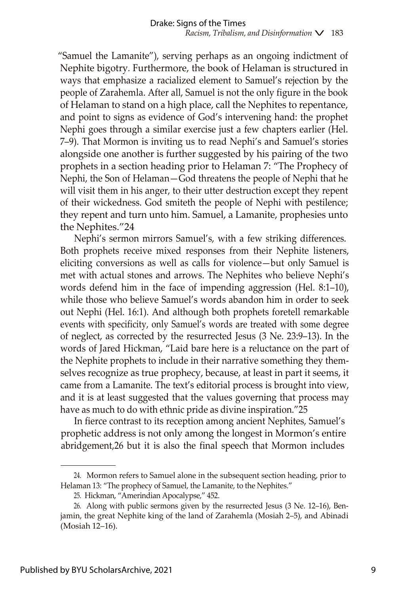"Samuel the Lamanite"), serving perhaps as an ongoing indictment of Nephite bigotry*.* Furthermore, the book of Helaman is structured in ways that emphasize a racialized element to Samuel's rejection by the people of Zarahemla. After all, Samuel is not the only figure in the book of Helaman to stand on a high place, call the Nephites to repentance, and point to signs as evidence of God's intervening hand: the prophet Nephi goes through a similar exercise just a few chapters earlier (Hel. 7–9). That Mormon is inviting us to read Nephi's and Samuel's stories alongside one another is further suggested by his pairing of the two prophets in a section heading prior to Helaman 7: "The Prophecy of Nephi, the Son of Helaman—God threatens the people of Nephi that he will visit them in his anger, to their utter destruction except they repent of their wickedness. God smiteth the people of Nephi with pestilence; they repent and turn unto him. Samuel, a Lamanite, prophesies unto the Nephites."24

Nephi's sermon mirrors Samuel's, with a few striking differences. Both prophets receive mixed responses from their Nephite listeners, eliciting conversions as well as calls for violence—but only Samuel is met with actual stones and arrows. The Nephites who believe Nephi's words defend him in the face of impending aggression (Hel. 8:1–10), while those who believe Samuel's words abandon him in order to seek out Nephi (Hel. 16:1). And although both prophets foretell remarkable events with specificity, only Samuel's words are treated with some degree of neglect, as corrected by the resurrected Jesus (3 Ne. 23:9–13). In the words of Jared Hickman, "Laid bare here is a reluctance on the part of the Nephite prophets to include in their narrative something they themselves recognize as true prophecy, because, at least in part it seems, it came from a Lamanite. The text's editorial process is brought into view, and it is at least suggested that the values governing that process may have as much to do with ethnic pride as divine inspiration."25

In fierce contrast to its reception among ancient Nephites, Samuel's prophetic address is not only among the longest in Mormon's entire abridgement,26 but it is also the final speech that Mormon includes

<sup>24.</sup> Mormon refers to Samuel alone in the subsequent section heading, prior to Helaman 13: "The prophecy of Samuel, the Lamanite, to the Nephites."

<sup>25.</sup> Hickman, "Amerindian Apocalypse," 452.

<sup>26.</sup> Along with public sermons given by the resurrected Jesus (3 Ne. 12–16), Benjamin, the great Nephite king of the land of Zarahemla (Mosiah 2–5), and Abinadi (Mosiah 12–16).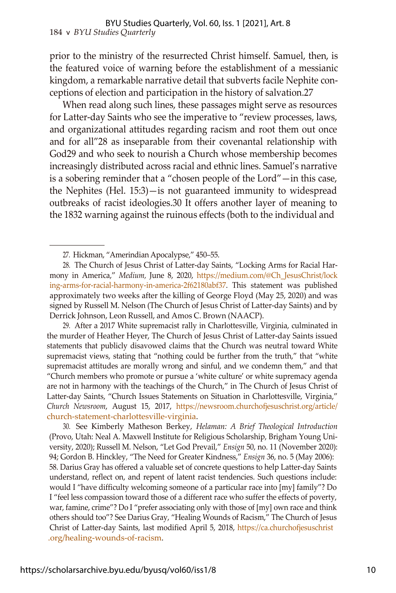prior to the ministry of the resurrected Christ himself. Samuel, then, is the featured voice of warning before the establishment of a messianic kingdom, a remarkable narrative detail that subverts facile Nephite conceptions of election and participation in the history of salvation.27

When read along such lines, these passages might serve as resources for Latter-day Saints who see the imperative to "review processes, laws, and organizational attitudes regarding racism and root them out once and for all"28 as inseparable from their covenantal relationship with God29 and who seek to nourish a Church whose membership becomes increasingly distributed across racial and ethnic lines. Samuel's narrative is a sobering reminder that a "chosen people of the Lord"—in this case, the Nephites (Hel. 15:3)—is not guaranteed immunity to widespread outbreaks of racist ideologies.30 It offers another layer of meaning to the 1832 warning against the ruinous effects (both to the individual and

<sup>27.</sup> Hickman, "Amerindian Apocalypse," 450–55.

<sup>28.</sup> The Church of Jesus Christ of Latter-day Saints, "Locking Arms for Racial Harmony in America," *Medium,* June 8, 2020, [https://medium.com/@Ch\\_JesusChrist/lock](https://medium.com/%40Ch_JesusChrist/locking-arms-for-racial-harmony-in-america-2f62180abf37) [ing-arms-for-racial-harmony-in-america-2f62180abf37.](https://medium.com/%40Ch_JesusChrist/locking-arms-for-racial-harmony-in-america-2f62180abf37) This statement was published approximately two weeks after the killing of George Floyd (May 25, 2020) and was signed by Russell M. Nelson (The Church of Jesus Christ of Latter-day Saints) and by Derrick Johnson, Leon Russell, and Amos C. Brown (NAACP).

<sup>29.</sup> After a 2017 White supremacist rally in Charlottesville, Virginia, culminated in the murder of Heather Heyer, The Church of Jesus Christ of Latter-day Saints issued statements that publicly disavowed claims that the Church was neutral toward White supremacist views, stating that "nothing could be further from the truth," that "white supremacist attitudes are morally wrong and sinful, and we condemn them," and that "Church members who promote or pursue a 'white culture' or white supremacy agenda are not in harmony with the teachings of the Church," in The Church of Jesus Christ of Latter-day Saints, "Church Issues Statements on Situation in Charlottesville, Virginia," *Church Newsroom*, August 15, 2017, [https://newsroom.churchofjesuschrist.org/article/](https://newsroom.churchofjesuschrist.org/article/church-statement-charlottesville-virginia) [church-statement-charlottesville-virginia.](https://newsroom.churchofjesuschrist.org/article/church-statement-charlottesville-virginia)

<sup>30.</sup> See Kimberly Matheson Berkey, *Helaman: A Brief Theological Introduction* (Provo, Utah: Neal A. Maxwell Institute for Religious Scholarship, Brigham Young University, 2020); Russell M. Nelson, "Let God Prevail," *Ensign* 50, no. 11 (November 2020): 94; Gordon B. Hinckley, "The Need for Greater Kindness," *Ensign* 36, no. 5 (May 2006): 58. Darius Gray has offered a valuable set of concrete questions to help Latter-day Saints understand, reflect on, and repent of latent racist tendencies. Such questions include: would I "have difficulty welcoming someone of a particular race into [my] family"? Do I "feel less compassion toward those of a different race who suffer the effects of poverty, war, famine, crime"? Do I "prefer associating only with those of [my] own race and think others should too"? See Darius Gray, "Healing Wounds of Racism," The Church of Jesus Christ of Latter-day Saints, last modified April 5, 2018, [https://ca.churchofjesuschrist](https://ca.churchofjesuschrist.org/healing-wounds-of-racism) [.org/healing-wounds-of-racism.](https://ca.churchofjesuschrist.org/healing-wounds-of-racism)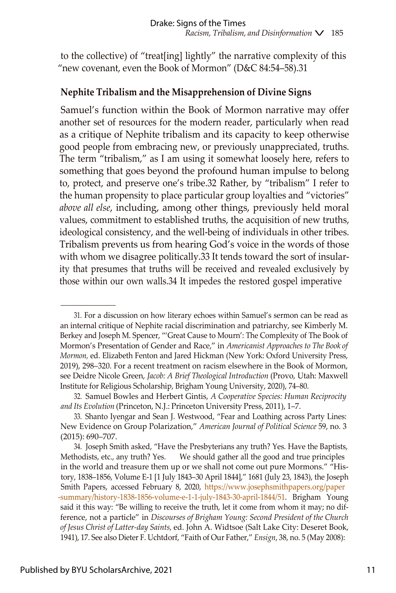to the collective) of "treat[ing] lightly" the narrative complexity of this "new covenant, even the Book of Mormon" (D&C 84:54–58).31

# **Nephite Tribalism and the Misapprehension of Divine Signs**

Samuel's function within the Book of Mormon narrative may offer another set of resources for the modern reader, particularly when read as a critique of Nephite tribalism and its capacity to keep otherwise good people from embracing new, or previously unappreciated, truths. The term "tribalism," as I am using it somewhat loosely here, refers to something that goes beyond the profound human impulse to belong to, protect, and preserve one's tribe.32 Rather, by "tribalism" I refer to the human propensity to place particular group loyalties and "victories" *above all else*, including, among other things, previously held moral values, commitment to established truths, the acquisition of new truths, ideological consistency, and the well-being of individuals in other tribes. Tribalism prevents us from hearing God's voice in the words of those with whom we disagree politically.33 It tends toward the sort of insularity that presumes that truths will be received and revealed exclusively by those within our own walls.34 It impedes the restored gospel imperative

<sup>31.</sup> For a discussion on how literary echoes within Samuel's sermon can be read as an internal critique of Nephite racial discrimination and patriarchy, see Kimberly M. Berkey and Joseph M. Spencer, "'Great Cause to Mourn': The Complexity of The Book of Mormon's Presentation of Gender and Race," in *Americanist Approaches to The Book of Mormon,* ed. Elizabeth Fenton and Jared Hickman (New York: Oxford University Press, 2019), 298–320. For a recent treatment on racism elsewhere in the Book of Mormon, see Deidre Nicole Green, *Jacob: A Brief Theological Introduction* (Provo, Utah: Maxwell Institute for Religious Scholarship, Brigham Young University, 2020), 74–80.

<sup>32.</sup> Samuel Bowles and Herbert Gintis, *A Cooperative Species: Human Reciprocity and Its Evolution* (Princeton, N.J.: Princeton University Press, 2011), 1–7.

<sup>33.</sup> Shanto Iyengar and Sean J. Westwood, "Fear and Loathing across Party Lines: New Evidence on Group Polarization," *American Journal of Political Science* 59, no. 3 (2015): 690–707.

<sup>34.</sup> Joseph Smith asked, "Have the Presbyterians any truth? Yes. Have the Baptists, Methodists, etc., any truth? Yes. We should gather all the good and true principles in the world and treasure them up or we shall not come out pure Mormons." "History, 1838–1856, Volume E-1 [1 July 1843–30 April 1844]," 1681 (July 23, 1843), the Joseph Smith Papers, accessed February 8, 2020, [https://www.josephsmithpapers.org/paper](https://www.josephsmithpapers.org/paper-summary/history-1838-1856-volume-e-1-1-july-1843-30-april-1844/51) [-summary/history-1838-1856-volume-e-1-1-july-1843-30-april-1844/51.](https://www.josephsmithpapers.org/paper-summary/history-1838-1856-volume-e-1-1-july-1843-30-april-1844/51) Brigham Young said it this way: "Be willing to receive the truth, let it come from whom it may; no difference, not a particle" in *Discourses of Brigham Young: Second President of the Church of Jesus Christ of Latter-day Saints,* ed. John A. Widtsoe (Salt Lake City: Deseret Book, 1941), 17. See also Dieter F. Uchtdorf, "Faith of Our Father," *Ensign*, 38, no. 5 (May 2008):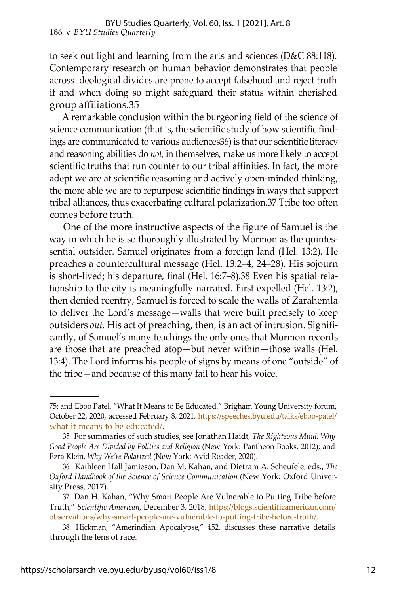to seek out light and learning from the arts and sciences (D&C 88:118). Contemporary research on human behavior demonstrates that people across ideological divides are prone to accept falsehood and reject truth if and when doing so might safeguard their status within cherished group affiliations.35

A remarkable conclusion within the burgeoning field of the science of science communication (that is, the scientific study of how scientific findings are communicated to various audiences36) is that our scientific literacy and reasoning abilities do *not,* in themselves, make us more likely to accept scientific truths that run counter to our tribal affinities. In fact, the more adept we are at scientific reasoning and actively open-minded thinking, the more able we are to repurpose scientific findings in ways that support tribal alliances, thus exacerbating cultural polarization.37 Tribe too often comes before truth.

One of the more instructive aspects of the figure of Samuel is the way in which he is so thoroughly illustrated by Mormon as the quintessential outsider. Samuel originates from a foreign land (Hel. 13:2). He preaches a countercultural message (Hel. 13:2–4, 24–28). His sojourn is short-lived; his departure, final (Hel. 16:7–8).38 Even his spatial relationship to the city is meaningfully narrated. First expelled (Hel. 13:2), then denied reentry, Samuel is forced to scale the walls of Zarahemla to deliver the Lord's message—walls that were built precisely to keep outsiders *out.* His act of preaching, then, is an act of intrusion. Significantly, of Samuel's many teachings the only ones that Mormon records are those that are preached atop—but never within—those walls (Hel. 13:4). The Lord informs his people of signs by means of one "outside" of the tribe—and because of this many fail to hear his voice.

<sup>75;</sup> and Eboo Patel, "What It Means to Be Educated," Brigham Young University forum, October 22, 2020, accessed February 8, 2021, [https://speeches.byu.edu/talks/eboo-patel/](https://speeches.byu.edu/talks/eboo-patel/what-it-means-to-be-educated/) [what-it-means-to-be-educated/.](https://speeches.byu.edu/talks/eboo-patel/what-it-means-to-be-educated/)

<sup>35.</sup> For summaries of such studies, see Jonathan Haidt, *The Righteous Mind: Why Good People Are Divided by Politics and Religion* (New York: Pantheon Books, 2012); and Ezra Klein, *Why We're Polarized* (New York: Avid Reader, 2020).

<sup>36.</sup> Kathleen Hall Jamieson, Dan M. Kahan, and Dietram A. Scheufele, eds., *The Oxford Handbook of the Science of Science Communication* (New York: Oxford University Press, 2017).

<sup>37.</sup> Dan H. Kahan, "Why Smart People Are Vulnerable to Putting Tribe before Truth," *Scientific American,* December 3, 2018, [https://blogs.scientificamerican.com/](https://blogs.scientificamerican.com/observations/why-smart-people-are-vulnerable-to-putting-tribe-before-truth/) [observations/why-smart-people-are-vulnerable-to-putting-tribe-before-truth/.](https://blogs.scientificamerican.com/observations/why-smart-people-are-vulnerable-to-putting-tribe-before-truth/)

<sup>38.</sup> Hickman, "Amerindian Apocalypse," 452, discusses these narrative details through the lens of race.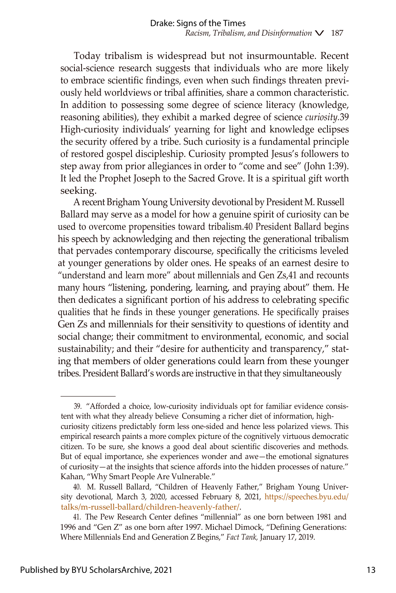Today tribalism is widespread but not insurmountable. Recent social-science research suggests that individuals who are more likely to embrace scientific findings, even when such findings threaten previously held worldviews or tribal affinities, share a common characteristic. In addition to possessing some degree of science literacy (knowledge, reasoning abilities), they exhibit a marked degree of science *curiosity.*39 High-curiosity individuals' yearning for light and knowledge eclipses the security offered by a tribe. Such curiosity is a fundamental principle of restored gospel discipleship. Curiosity prompted Jesus's followers to step away from prior allegiances in order to "come and see" (John 1:39). It led the Prophet Joseph to the Sacred Grove. It is a spiritual gift worth seeking.

A recent Brigham Young University devotional by President M. Russell Ballard may serve as a model for how a genuine spirit of curiosity can be used to overcome propensities toward tribalism.40 President Ballard begins his speech by acknowledging and then rejecting the generational tribalism that pervades contemporary discourse, specifically the criticisms leveled at younger generations by older ones. He speaks of an earnest desire to "understand and learn more" about millennials and Gen Zs,41 and recounts many hours "listening, pondering, learning, and praying about" them. He then dedicates a significant portion of his address to celebrating specific qualities that he finds in these younger generations. He specifically praises Gen Zs and millennials for their sensitivity to questions of identity and social change; their commitment to environmental, economic, and social sustainability; and their "desire for authenticity and transparency," stating that members of older generations could learn from these younger tribes. President Ballard's words are instructive in that they simultaneously

<sup>39.</sup> "Afforded a choice, low-curiosity individuals opt for familiar evidence consistent with what they already believe Consuming a richer diet of information, highcuriosity citizens predictably form less one-sided and hence less polarized views. This empirical research paints a more complex picture of the cognitively virtuous democratic citizen. To be sure, she knows a good deal about scientific discoveries and methods. But of equal importance, she experiences wonder and awe—the emotional signatures of curiosity—at the insights that science affords into the hidden processes of nature." Kahan, "Why Smart People Are Vulnerable."

<sup>40.</sup> M. Russell Ballard, "Children of Heavenly Father," Brigham Young University devotional, March 3, 2020, accessed February 8, 2021, [https://speeches.byu.edu/](https://speeches.byu.edu/talks/m-russell-ballard/children-heavenly-father/) [talks/m-russell-ballard/children-heavenly-father/.](https://speeches.byu.edu/talks/m-russell-ballard/children-heavenly-father/)

<sup>41.</sup> The Pew Research Center defines "millennial" as one born between 1981 and 1996 and "Gen Z" as one born after 1997. Michael Dimock, "Defining Generations: Where Millennials End and Generation Z Begins," *Fact Tank,* January 17, 2019.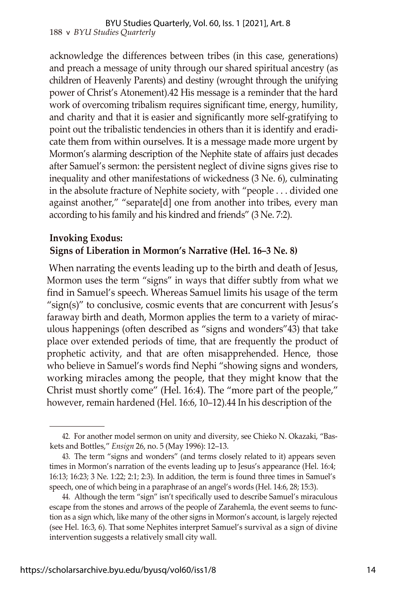acknowledge the differences between tribes (in this case, generations) and preach a message of unity through our shared spiritual ancestry (as children of Heavenly Parents) and destiny (wrought through the unifying power of Christ's Atonement).42 His message is a reminder that the hard work of overcoming tribalism requires significant time, energy, humility, and charity and that it is easier and significantly more self-gratifying to point out the tribalistic tendencies in others than it is identify and eradicate them from within ourselves. It is a message made more urgent by Mormon's alarming description of the Nephite state of affairs just decades after Samuel's sermon: the persistent neglect of divine signs gives rise to inequality and other manifestations of wickedness (3 Ne. 6), culminating in the absolute fracture of Nephite society, with "people . . . divided one against another," "separate[d] one from another into tribes, every man according to his family and his kindred and friends" (3 Ne. 7:2).

# **Invoking Exodus: Signs of Liberation in Mormon's Narrative (Hel. 16–3 Ne. 8)**

When narrating the events leading up to the birth and death of Jesus, Mormon uses the term "signs" in ways that differ subtly from what we find in Samuel's speech. Whereas Samuel limits his usage of the term "sign(s)" to conclusive, cosmic events that are concurrent with Jesus's faraway birth and death, Mormon applies the term to a variety of miraculous happenings (often described as "signs and wonders"43) that take place over extended periods of time, that are frequently the product of prophetic activity, and that are often misapprehended. Hence, those who believe in Samuel's words find Nephi "showing signs and wonders, working miracles among the people, that they might know that the Christ must shortly come" (Hel. 16:4). The "more part of the people," however, remain hardened (Hel. 16:6, 10–12).44 In his description of the

<sup>42.</sup> For another model sermon on unity and diversity, see Chieko N. Okazaki, "Baskets and Bottles," *Ensign* 26, no. 5 (May 1996): 12–13.

<sup>43.</sup> The term "signs and wonders" (and terms closely related to it) appears seven times in Mormon's narration of the events leading up to Jesus's appearance (Hel. 16:4; 16:13; 16:23; 3 Ne. 1:22; 2:1; 2:3). In addition, the term is found three times in Samuel's speech, one of which being in a paraphrase of an angel's words (Hel. 14:6, 28; 15:3).

<sup>44.</sup> Although the term "sign" isn't specifically used to describe Samuel's miraculous escape from the stones and arrows of the people of Zarahemla, the event seems to function as a sign which, like many of the other signs in Mormon's account, is largely rejected (see Hel. 16:3, 6). That some Nephites interpret Samuel's survival as a sign of divine intervention suggests a relatively small city wall.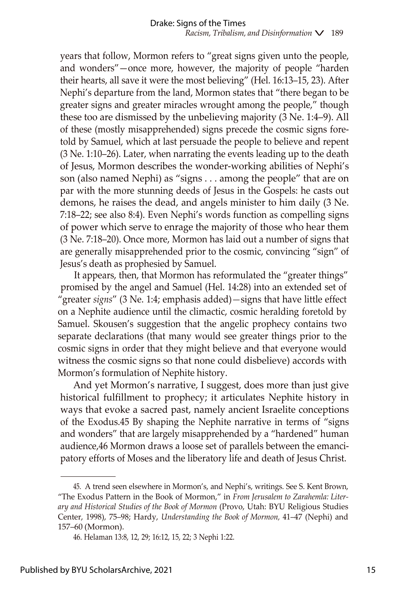years that follow, Mormon refers to "great signs given unto the people, and wonders"—once more, however, the majority of people "harden their hearts, all save it were the most believing" (Hel. 16:13–15, 23). After Nephi's departure from the land, Mormon states that "there began to be greater signs and greater miracles wrought among the people," though these too are dismissed by the unbelieving majority (3 Ne. 1:4–9). All of these (mostly misapprehended) signs precede the cosmic signs foretold by Samuel, which at last persuade the people to believe and repent (3 Ne. 1:10–26). Later, when narrating the events leading up to the death of Jesus, Mormon describes the wonder-working abilities of Nephi's son (also named Nephi) as "signs . . . among the people" that are on par with the more stunning deeds of Jesus in the Gospels: he casts out demons, he raises the dead, and angels minister to him daily (3 Ne. 7:18–22; see also 8:4). Even Nephi's words function as compelling signs of power which serve to enrage the majority of those who hear them (3 Ne. 7:18–20). Once more, Mormon has laid out a number of signs that are generally misapprehended prior to the cosmic, convincing "sign" of Jesus's death as prophesied by Samuel.

It appears, then, that Mormon has reformulated the "greater things" promised by the angel and Samuel (Hel. 14:28) into an extended set of "greater *signs*" (3 Ne. 1:4; emphasis added)*—*signs that have little effect on a Nephite audience until the climactic, cosmic heralding foretold by Samuel. Skousen's suggestion that the angelic prophecy contains two separate declarations (that many would see greater things prior to the cosmic signs in order that they might believe and that everyone would witness the cosmic signs so that none could disbelieve) accords with Mormon's formulation of Nephite history.

And yet Mormon's narrative, I suggest, does more than just give historical fulfillment to prophecy; it articulates Nephite history in ways that evoke a sacred past, namely ancient Israelite conceptions of the Exodus.45 By shaping the Nephite narrative in terms of "signs and wonders" that are largely misapprehended by a "hardened" human audience,46 Mormon draws a loose set of parallels between the emancipatory efforts of Moses and the liberatory life and death of Jesus Christ.

<sup>45.</sup> A trend seen elsewhere in Mormon's, and Nephi's, writings. See S. Kent Brown, "The Exodus Pattern in the Book of Mormon," in *From Jerusalem to Zarahemla: Literary and Historical Studies of the Book of Mormon* (Provo, Utah: BYU Religious Studies Center, 1998), 75–98; Hardy, *Understanding the Book of Mormon,* 41–47 (Nephi) and 157–60 (Mormon).

<sup>46.</sup> Helaman 13:8, 12, 29; 16:12, 15, 22; 3 Nephi 1:22.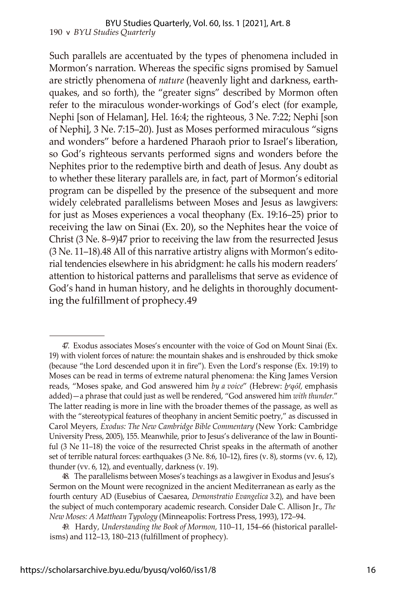#### 190 v *BYU Studies Quarterly* BYU Studies Quarterly, Vol. 60, Iss. 1 [2021], Art. 8

Such parallels are accentuated by the types of phenomena included in Mormon's narration. Whereas the specific signs promised by Samuel are strictly phenomena of *nature* (heavenly light and darkness, earthquakes, and so forth), the "greater signs" described by Mormon often refer to the miraculous wonder-workings of God's elect (for example, Nephi [son of Helaman], Hel. 16:4; the righteous, 3 Ne. 7:22; Nephi [son of Nephi], 3 Ne. 7:15–20). Just as Moses performed miraculous "signs and wonders" before a hardened Pharaoh prior to Israel's liberation, so God's righteous servants performed signs and wonders before the Nephites prior to the redemptive birth and death of Jesus. Any doubt as to whether these literary parallels are, in fact, part of Mormon's editorial program can be dispelled by the presence of the subsequent and more widely celebrated parallelisms between Moses and Jesus as lawgivers: for just as Moses experiences a vocal theophany (Ex. 19:16–25) prior to receiving the law on Sinai (Ex. 20), so the Nephites hear the voice of Christ (3 Ne. 8–9)47 prior to receiving the law from the resurrected Jesus (3 Ne. 11–18).48 All of this narrative artistry aligns with Mormon's editorial tendencies elsewhere in his abridgment: he calls his modern readers' attention to historical patterns and parallelisms that serve as evidence of God's hand in human history, and he delights in thoroughly documenting the fulfillment of prophecy.49

48. The parallelisms between Moses's teachings as a lawgiver in Exodus and Jesus's Sermon on the Mount were recognized in the ancient Mediterranean as early as the fourth century AD (Eusebius of Caesarea, *Demonstratio Evangelica* 3.2), and have been the subject of much contemporary academic research. Consider Dale C. Allison Jr., *The New Moses: A Matthean Typology* (Minneapolis: Fortress Press, 1993), 172–94.

49. Hardy, *Understanding the Book of Mormon,* 110–11, 154–66 (historical parallelisms) and 112–13, 180–213 (fulfillment of prophecy).

<sup>47.</sup> Exodus associates Moses's encounter with the voice of God on Mount Sinai (Ex. 19) with violent forces of nature: the mountain shakes and is enshrouded by thick smoke (because "the Lord descended upon it in fire"). Even the Lord's response (Ex. 19:19) to Moses can be read in terms of extreme natural phenomena: the King James Version reads, "Moses spake, and God answered him *by a voice*" (Hebrew: *b<sup>e</sup>qôl*, emphasis added)—a phrase that could just as well be rendered, "God answered him *with thunder.*" The latter reading is more in line with the broader themes of the passage, as well as with the "stereotypical features of theophany in ancient Semitic poetry," as discussed in Carol Meyers, *Exodus: The New Cambridge Bible Commentary* (New York: Cambridge University Press, 2005), 155. Meanwhile, prior to Jesus's deliverance of the law in Bountiful (3 Ne 11–18) the voice of the resurrected Christ speaks in the aftermath of another set of terrible natural forces: earthquakes (3 Ne. 8:6, 10–12), fires (v. 8), storms (vv. 6, 12), thunder (vv. 6, 12), and eventually, darkness (v. 19).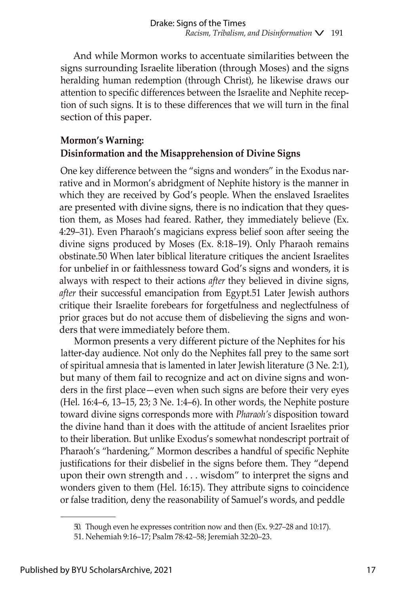And while Mormon works to accentuate similarities between the signs surrounding Israelite liberation (through Moses) and the signs heralding human redemption (through Christ), he likewise draws our attention to specific differences between the Israelite and Nephite reception of such signs. It is to these differences that we will turn in the final section of this paper.

# **Mormon's Warning: Disinformation and the Misapprehension of Divine Signs**

One key difference between the "signs and wonders" in the Exodus narrative and in Mormon's abridgment of Nephite history is the manner in which they are received by God's people. When the enslaved Israelites are presented with divine signs, there is no indication that they question them, as Moses had feared. Rather, they immediately believe (Ex. 4:29–31). Even Pharaoh's magicians express belief soon after seeing the divine signs produced by Moses (Ex. 8:18–19). Only Pharaoh remains obstinate.50 When later biblical literature critiques the ancient Israelites for unbelief in or faithlessness toward God's signs and wonders, it is always with respect to their actions *after* they believed in divine signs, *after* their successful emancipation from Egypt.51 Later Jewish authors critique their Israelite forebears for forgetfulness and neglectfulness of prior graces but do not accuse them of disbelieving the signs and wonders that were immediately before them.

Mormon presents a very different picture of the Nephites for his latter-day audience. Not only do the Nephites fall prey to the same sort of spiritual amnesia that is lamented in later Jewish literature (3 Ne. 2:1), but many of them fail to recognize and act on divine signs and wonders in the first place—even when such signs are before their very eyes (Hel. 16:4–6, 13–15, 23; 3 Ne. 1:4–6). In other words, the Nephite posture toward divine signs corresponds more with *Pharaoh's* disposition toward the divine hand than it does with the attitude of ancient Israelites prior to their liberation. But unlike Exodus's somewhat nondescript portrait of Pharaoh's "hardening," Mormon describes a handful of specific Nephite justifications for their disbelief in the signs before them. They "depend upon their own strength and . . . wisdom" to interpret the signs and wonders given to them (Hel. 16:15). They attribute signs to coincidence or false tradition, deny the reasonability of Samuel's words, and peddle

<sup>50.</sup> Though even he expresses contrition now and then (Ex. 9:27–28 and 10:17).

<sup>51.</sup> Nehemiah 9:16–17; Psalm 78:42–58; Jeremiah 32:20–23.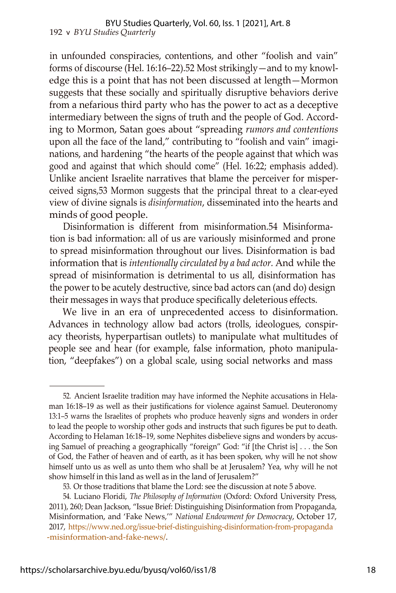in unfounded conspiracies, contentions, and other "foolish and vain" forms of discourse (Hel. 16:16–22).52 Most strikingly—and to my knowledge this is a point that has not been discussed at length—Mormon suggests that these socially and spiritually disruptive behaviors derive from a nefarious third party who has the power to act as a deceptive intermediary between the signs of truth and the people of God. According to Mormon, Satan goes about "spreading *rumors and contentions* upon all the face of the land," contributing to "foolish and vain" imaginations, and hardening "the hearts of the people against that which was good and against that which should come" (Hel. 16:22; emphasis added). Unlike ancient Israelite narratives that blame the perceiver for misperceived signs,53 Mormon suggests that the principal threat to a clear-eyed view of divine signals is *disinformation*, disseminated into the hearts and minds of good people.

Disinformation is different from misinformation.54 Misinformation is bad information: all of us are variously misinformed and prone to spread misinformation throughout our lives. Disinformation is bad information that is *intentionally circulated by a bad actor.* And while the spread of misinformation is detrimental to us all, disinformation has the power to be acutely destructive, since bad actors can (and do) design their messages in ways that produce specifically deleterious effects.

We live in an era of unprecedented access to disinformation. Advances in technology allow bad actors (trolls, ideologues, conspiracy theorists, hyperpartisan outlets) to manipulate what multitudes of people see and hear (for example, false information, photo manipulation, "deepfakes") on a global scale, using social networks and mass

<sup>52.</sup> Ancient Israelite tradition may have informed the Nephite accusations in Helaman 16:18–19 as well as their justifications for violence against Samuel. Deuteronomy 13:1–5 warns the Israelites of prophets who produce heavenly signs and wonders in order to lead the people to worship other gods and instructs that such figures be put to death. According to Helaman 16:18–19, some Nephites disbelieve signs and wonders by accusing Samuel of preaching a geographically "foreign" God: "if [the Christ is] . . . the Son of God, the Father of heaven and of earth, as it has been spoken, why will he not show himself unto us as well as unto them who shall be at Jerusalem? Yea, why will he not show himself in this land as well as in the land of Jerusalem?"

<sup>53.</sup> Or those traditions that blame the Lord: see the discussion at note 5 above.

<sup>54.</sup> Luciano Floridi, *The Philosophy of Information* (Oxford: Oxford University Press, 2011), 260; Dean Jackson, "Issue Brief: Distinguishing Disinformation from Propaganda, Misinformation, and 'Fake News,'" *National Endowment for Democracy*, October 17, 2017, [https://www.ned.org/issue-brief-distinguishing-disinformation-from-propaganda](https://www.ned.org/issue-brief-distinguishing-disinformation-from-propaganda-misinformation-and-fake-news/) [-misinformation-and-fake-news/.](https://www.ned.org/issue-brief-distinguishing-disinformation-from-propaganda-misinformation-and-fake-news/)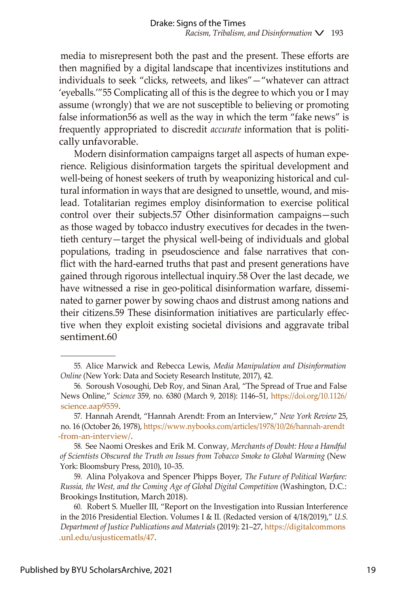media to misrepresent both the past and the present. These efforts are then magnified by a digital landscape that incentivizes institutions and individuals to seek "clicks, retweets, and likes"—"whatever can attract 'eyeballs.'"55 Complicating all of this is the degree to which you or I may assume (wrongly) that we are not susceptible to believing or promoting false information56 as well as the way in which the term "fake news" is frequently appropriated to discredit *accurate* information that is politically unfavorable.

Modern disinformation campaigns target all aspects of human experience. Religious disinformation targets the spiritual development and well-being of honest seekers of truth by weaponizing historical and cultural information in ways that are designed to unsettle, wound, and mislead. Totalitarian regimes employ disinformation to exercise political control over their subjects.57 Other disinformation campaigns—such as those waged by tobacco industry executives for decades in the twentieth century—target the physical well-being of individuals and global populations, trading in pseudoscience and false narratives that conflict with the hard-earned truths that past and present generations have gained through rigorous intellectual inquiry.58 Over the last decade, we have witnessed a rise in geo-political disinformation warfare, disseminated to garner power by sowing chaos and distrust among nations and their citizens.59 These disinformation initiatives are particularly effective when they exploit existing societal divisions and aggravate tribal sentiment.60

58. See Naomi Oreskes and Erik M. Conway, *Merchants of Doubt: How a Handful of Scientists Obscured the Truth on Issues from Tobacco Smoke to Global Warming* (New York: Bloomsbury Press, 2010), 10–35.

59. Alina Polyakova and Spencer Phipps Boyer, *The Future of Political Warfare: Russia, the West, and the Coming Age of Global Digital Competition* (Washington, D.C.: Brookings Institution, March 2018).

<sup>55.</sup> Alice Marwick and Rebecca Lewis, *Media Manipulation and Disinformation Online* (New York: Data and Society Research Institute, 2017), 42.

<sup>56.</sup> Soroush Vosoughi, Deb Roy, and Sinan Aral, "The Spread of True and False News Online," *Science* 359, no. 6380 (March 9, 2018): 1146–51, [https://doi.org/10.1126/](https://doi.org/10.1126/science.aap9559) [science.aap9559.](https://doi.org/10.1126/science.aap9559)

<sup>57.</sup> Hannah Arendt, "Hannah Arendt: From an Interview," *New York Review* 25, no. 16 (October 26, 1978), [https://www.nybooks.com/articles/1978/10/26/hannah-arendt](https://www.nybooks.com/articles/1978/10/26/hannah-arendt-from-an-interview/) [-from-an-interview/.](https://www.nybooks.com/articles/1978/10/26/hannah-arendt-from-an-interview/)

<sup>60.</sup> Robert S. Mueller III, "Report on the Investigation into Russian Interference in the 2016 Presidential Election. Volumes I & II. (Redacted version of 4/18/2019)," *U.S. Department of Justice Publications and Materials* (2019): 21–27, [https://digitalcommons](https://digitalcommons.unl.edu/usjusticematls/47) [.unl.edu/usjusticematls/47.](https://digitalcommons.unl.edu/usjusticematls/47)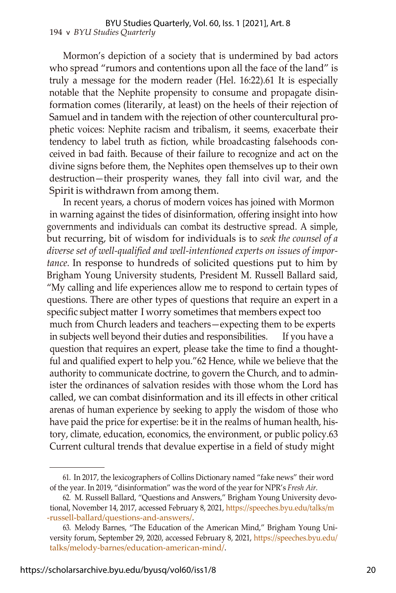#### 194 v *BYU Studies Quarterly* BYU Studies Quarterly, Vol. 60, Iss. 1 [2021], Art. 8

Mormon's depiction of a society that is undermined by bad actors who spread "rumors and contentions upon all the face of the land" is truly a message for the modern reader (Hel. 16:22).61 It is especially notable that the Nephite propensity to consume and propagate disinformation comes (literarily, at least) on the heels of their rejection of Samuel and in tandem with the rejection of other countercultural prophetic voices: Nephite racism and tribalism, it seems, exacerbate their tendency to label truth as fiction, while broadcasting falsehoods conceived in bad faith. Because of their failure to recognize and act on the divine signs before them, the Nephites open themselves up to their own destruction—their prosperity wanes, they fall into civil war, and the Spirit is withdrawn from among them.

In recent years, a chorus of modern voices has joined with Mormon in warning against the tides of disinformation, offering insight into how governments and individuals can combat its destructive spread. A simple, but recurring, bit of wisdom for individuals is to *seek the counsel of a diverse set of well-qualified and well-intentioned experts on issues of importance.* In response to hundreds of solicited questions put to him by Brigham Young University students, President M. Russell Ballard said, "My calling and life experiences allow me to respond to certain types of questions. There are other types of questions that require an expert in a specific subject matter I worry sometimes that members expect too much from Church leaders and teachers—expecting them to be experts in subjects well beyond their duties and responsibilities. If you have a question that requires an expert, please take the time to find a thoughtful and qualified expert to help you."62 Hence, while we believe that the authority to communicate doctrine, to govern the Church, and to administer the ordinances of salvation resides with those whom the Lord has called, we can combat disinformation and its ill effects in other critical arenas of human experience by seeking to apply the wisdom of those who have paid the price for expertise: be it in the realms of human health, history, climate, education, economics, the environment, or public policy.63 Current cultural trends that devalue expertise in a field of study might

<sup>61.</sup> In 2017, the lexicographers of Collins Dictionary named "fake news" their word of the year. In 2019, "disinformation" was the word of the year for NPR's *Fresh Air.*

<sup>62.</sup> M. Russell Ballard, "Questions and Answers," Brigham Young University devotional, November 14, 2017, accessed February 8, 2021, [https://speeches.byu.edu/talks/m](https://speeches.byu.edu/talks/m-russell-ballard/questions-and-answers/) [-russell-ballard/questions-and-answers/.](https://speeches.byu.edu/talks/m-russell-ballard/questions-and-answers/)

<sup>63.</sup> Melody Barnes, "The Education of the American Mind," Brigham Young University forum, September 29, 2020, accessed February 8, 2021, [https://speeches.byu.edu/](https://speeches.byu.edu/talks/melody-barnes/education-american-mind/) [talks/melody-barnes/education-american-mind/.](https://speeches.byu.edu/talks/melody-barnes/education-american-mind/)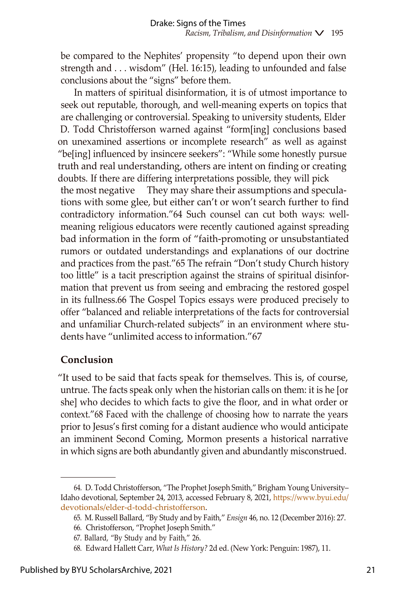be compared to the Nephites' propensity "to depend upon their own strength and . . . wisdom" (Hel. 16:15), leading to unfounded and false conclusions about the "signs" before them.

In matters of spiritual disinformation, it is of utmost importance to seek out reputable, thorough, and well-meaning experts on topics that are challenging or controversial. Speaking to university students, Elder D. Todd Christofferson warned against "form[ing] conclusions based on unexamined assertions or incomplete research" as well as against "be[ing] influenced by insincere seekers": "While some honestly pursue truth and real understanding, others are intent on finding or creating doubts. If there are differing interpretations possible, they will pick the most negative They may share their assumptions and speculations with some glee, but either can't or won't search further to find contradictory information."64 Such counsel can cut both ways: wellmeaning religious educators were recently cautioned against spreading bad information in the form of "faith-promoting or unsubstantiated rumors or outdated understandings and explanations of our doctrine and practices from the past."65 The refrain "Don't study Church history too little" is a tacit prescription against the strains of spiritual disinformation that prevent us from seeing and embracing the restored gospel in its fullness.66 The Gospel Topics essays were produced precisely to offer "balanced and reliable interpretations of the facts for controversial and unfamiliar Church-related subjects" in an environment where students have "unlimited access to information."67

## **Conclusion**

"It used to be said that facts speak for themselves. This is, of course, untrue. The facts speak only when the historian calls on them: it is he [or she] who decides to which facts to give the floor, and in what order or context."68 Faced with the challenge of choosing how to narrate the years prior to Jesus's first coming for a distant audience who would anticipate an imminent Second Coming, Mormon presents a historical narrative in which signs are both abundantly given and abundantly misconstrued.

<sup>64.</sup> D. Todd Christofferson, "The Prophet Joseph Smith," Brigham Young University– Idaho devotional, September 24, 2013, accessed February 8, 2021, [https://www.byui.edu/](https://www.byui.edu/devotionals/elder-d-todd-christofferson) [devotionals/elder-d-todd-christofferson.](https://www.byui.edu/devotionals/elder-d-todd-christofferson)

<sup>65.</sup> M. Russell Ballard, "By Study and by Faith," *Ensign* 46, no. 12 (December 2016): 27.

<sup>66.</sup> Christofferson, "Prophet Joseph Smith."

<sup>67.</sup> Ballard, "By Study and by Faith," 26.

<sup>68.</sup> Edward Hallett Carr, *What Is History?* 2d ed. (New York: Penguin: 1987), 11.